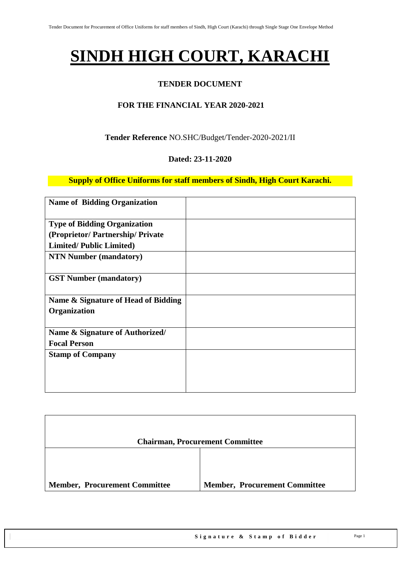# **SINDH HIGH COURT, KARACHI**

### **TENDER DOCUMENT**

### **FOR THE FINANCIAL YEAR 2020-2021**

**Tender Reference** NO.SHC/Budget/Tender-2020-2021/II

#### **Dated: 23-11-2020**

**Supply of Office Uniforms for staff members of Sindh, High Court Karachi.**

| <b>Name of Bidding Organization</b>                 |  |
|-----------------------------------------------------|--|
| <b>Type of Bidding Organization</b>                 |  |
| (Proprietor/Partnership/Private                     |  |
| <b>Limited/Public Limited)</b>                      |  |
| <b>NTN Number (mandatory)</b>                       |  |
| <b>GST Number (mandatory)</b>                       |  |
| Name & Signature of Head of Bidding<br>Organization |  |
| Name & Signature of Authorized/                     |  |
| <b>Focal Person</b>                                 |  |
| <b>Stamp of Company</b>                             |  |

|                                      | <b>Chairman, Procurement Committee</b> |
|--------------------------------------|----------------------------------------|
|                                      |                                        |
| <b>Member, Procurement Committee</b> | <b>Member, Procurement Committee</b>   |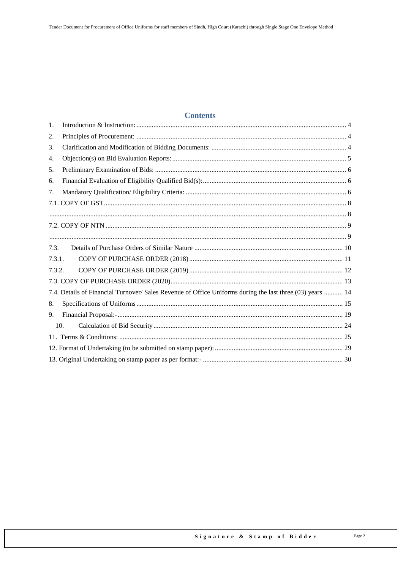### **Contents**

| 1.     |                                                                                                           |  |  |  |  |  |
|--------|-----------------------------------------------------------------------------------------------------------|--|--|--|--|--|
| 2.     |                                                                                                           |  |  |  |  |  |
| 3.     |                                                                                                           |  |  |  |  |  |
| 4.     |                                                                                                           |  |  |  |  |  |
| 5.     |                                                                                                           |  |  |  |  |  |
| 6.     |                                                                                                           |  |  |  |  |  |
| 7.     |                                                                                                           |  |  |  |  |  |
|        |                                                                                                           |  |  |  |  |  |
|        |                                                                                                           |  |  |  |  |  |
|        |                                                                                                           |  |  |  |  |  |
|        |                                                                                                           |  |  |  |  |  |
| 7.3.   |                                                                                                           |  |  |  |  |  |
| 7.3.1. |                                                                                                           |  |  |  |  |  |
| 7.3.2. |                                                                                                           |  |  |  |  |  |
|        |                                                                                                           |  |  |  |  |  |
|        | 7.4. Details of Financial Turnover/ Sales Revenue of Office Uniforms during the last three (03) years  14 |  |  |  |  |  |
| 8.     |                                                                                                           |  |  |  |  |  |
| 9.     |                                                                                                           |  |  |  |  |  |
| 10.    |                                                                                                           |  |  |  |  |  |
|        |                                                                                                           |  |  |  |  |  |
|        |                                                                                                           |  |  |  |  |  |
|        |                                                                                                           |  |  |  |  |  |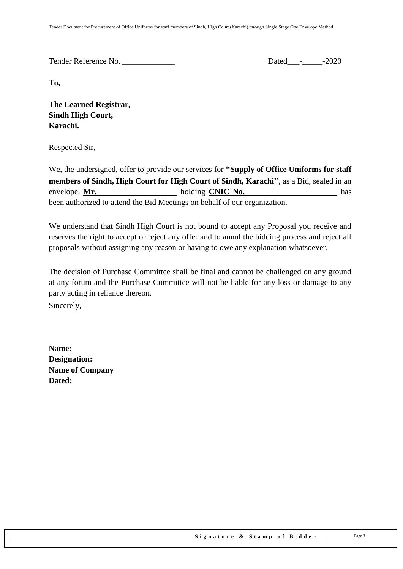Tender Reference No. 2020

**To,** 

**The Learned Registrar, Sindh High Court, Karachi.**

Respected Sir,

We, the undersigned, offer to provide our services for **"Supply of Office Uniforms for staff members of Sindh, High Court for High Court of Sindh, Karachi"**, as a Bid, sealed in an envelope. Mr. been authorized to attend the Bid Meetings on behalf of our organization.

We understand that Sindh High Court is not bound to accept any Proposal you receive and reserves the right to accept or reject any offer and to annul the bidding process and reject all proposals without assigning any reason or having to owe any explanation whatsoever.

The decision of Purchase Committee shall be final and cannot be challenged on any ground at any forum and the Purchase Committee will not be liable for any loss or damage to any party acting in reliance thereon.

Sincerely,

**Name: Designation: Name of Company Dated:**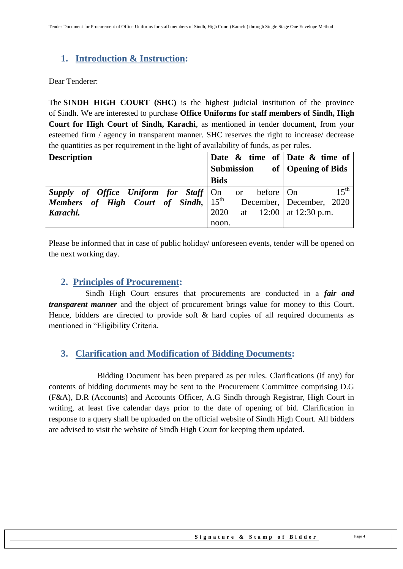# <span id="page-3-0"></span>**1. Introduction & Instruction:**

Dear Tenderer:

The **SINDH HIGH COURT (SHC)** is the highest judicial institution of the province of [Sindh.](https://en.wikipedia.org/wiki/Sindh) We are interested to purchase **Office Uniforms for staff members of Sindh, High Court for High Court of Sindh, Karachi**, as mentioned in tender document, from your esteemed firm / agency in transparent manner. SHC reserves the right to increase/ decrease the quantities as per requirement in the light of availability of funds, as per rules.

| <b>Description</b>                                      |             |    |             | Date $\&$ time of Date $\&$ time of |
|---------------------------------------------------------|-------------|----|-------------|-------------------------------------|
|                                                         | Submission  |    |             | of   Opening of Bids                |
|                                                         | <b>Bids</b> |    |             |                                     |
| <b>Supply of Office Uniform for Staff</b> $\vert$ On or |             |    | before   On | $15^{th}$                           |
| <b>Members</b> of High Court of Sindh, $15^{th}$        |             |    |             | December, December, 2020            |
| Karachi.                                                | 2020        | at |             | $12:00$   at 12:30 p.m.             |
|                                                         | noon.       |    |             |                                     |

<span id="page-3-1"></span>Please be informed that in case of public holiday/ unforeseen events, tender will be opened on the next working day.

### **2. Principles of Procurement:**

 Sindh High Court ensures that procurements are conducted in a *fair and transparent manner* and the object of procurement brings value for money to this Court. Hence, bidders are directed to provide soft & hard copies of all required documents as mentioned in "Eligibility Criteria.

### <span id="page-3-2"></span>**3. Clarification and Modification of Bidding Documents:**

Bidding Document has been prepared as per rules. Clarifications (if any) for contents of bidding documents may be sent to the Procurement Committee comprising D.G (F&A), D.R (Accounts) and Accounts Officer, A.G Sindh through Registrar, High Court in writing, at least five calendar days prior to the date of opening of bid. Clarification in response to a query shall be uploaded on the official website of Sindh High Court. All bidders are advised to visit the website of Sindh High Court for keeping them updated.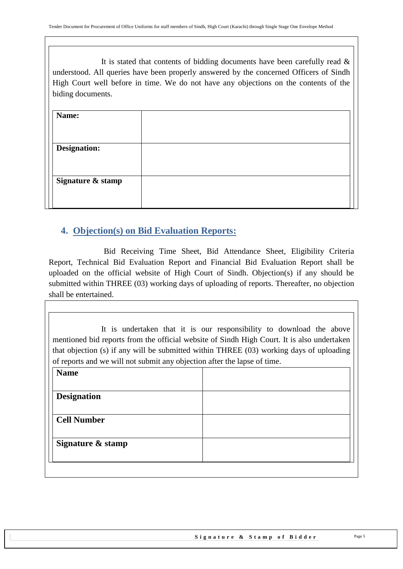It is stated that contents of bidding documents have been carefully read  $\&$ understood. All queries have been properly answered by the concerned Officers of Sindh High Court well before in time. We do not have any objections on the contents of the biding documents.

| Name:               |  |
|---------------------|--|
|                     |  |
| <b>Designation:</b> |  |
|                     |  |
| Signature & stamp   |  |
|                     |  |

# <span id="page-4-0"></span>**4. Objection(s) on Bid Evaluation Reports:**

 Bid Receiving Time Sheet, Bid Attendance Sheet, Eligibility Criteria Report, Technical Bid Evaluation Report and Financial Bid Evaluation Report shall be uploaded on the official website of High Court of Sindh. Objection(s) if any should be submitted within THREE (03) working days of uploading of reports. Thereafter, no objection shall be entertained.

It is undertaken that it is our responsibility to download the above mentioned bid reports from the official website of Sindh High Court. It is also undertaken that objection (s) if any will be submitted within THREE (03) working days of uploading of reports and we will not submit any objection after the lapse of time.

| <b>Name</b>        |  |
|--------------------|--|
|                    |  |
| <b>Designation</b> |  |
|                    |  |
| <b>Cell Number</b> |  |
|                    |  |
| Signature & stamp  |  |
|                    |  |
|                    |  |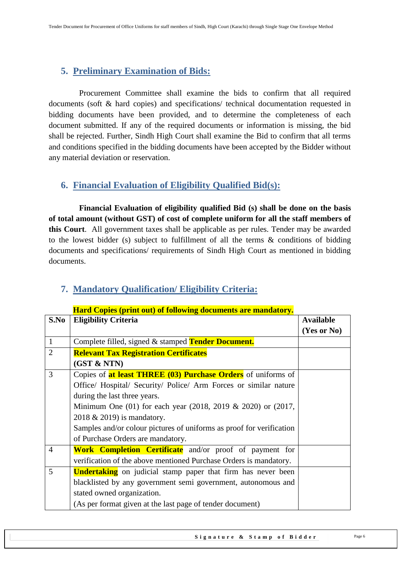# <span id="page-5-0"></span>**5. Preliminary Examination of Bids:**

 Procurement Committee shall examine the bids to confirm that all required documents (soft & hard copies) and specifications/ technical documentation requested in bidding documents have been provided, and to determine the completeness of each document submitted. If any of the required documents or information is missing, the bid shall be rejected. Further, Sindh High Court shall examine the Bid to confirm that all terms and conditions specified in the bidding documents have been accepted by the Bidder without any material deviation or reservation.

# <span id="page-5-1"></span>**6. Financial Evaluation of Eligibility Qualified Bid(s):**

 **Financial Evaluation of eligibility qualified Bid (s) shall be done on the basis of total amount (without GST) of cost of complete uniform for all the staff members of this Court**. All government taxes shall be applicable as per rules. Tender may be awarded to the lowest bidder (s) subject to fulfillment of all the terms & conditions of bidding documents and specifications/ requirements of Sindh High Court as mentioned in bidding documents.

|                | пага Соркз (ргни оці) от гономик аосинсніз аге ніаплатогу.                |                  |
|----------------|---------------------------------------------------------------------------|------------------|
| S.No           | <b>Eligibility Criteria</b>                                               | <b>Available</b> |
|                |                                                                           | (Yes or No)      |
| $\mathbf{1}$   | Complete filled, signed & stamped Tender Document.                        |                  |
| $\overline{2}$ | <b>Relevant Tax Registration Certificates</b>                             |                  |
|                | (GST & NTN)                                                               |                  |
| 3              | Copies of <b>at least THREE (03) Purchase Orders</b> of uniforms of       |                  |
|                | Office/ Hospital/ Security/ Police/ Arm Forces or similar nature          |                  |
|                | during the last three years.                                              |                  |
|                | Minimum One $(01)$ for each year $(2018, 2019 \& 2020)$ or $(2017, 2017)$ |                  |
|                | 2018 & 2019) is mandatory.                                                |                  |
|                | Samples and/or colour pictures of uniforms as proof for verification      |                  |
|                | of Purchase Orders are mandatory.                                         |                  |
| $\overline{4}$ | Work Completion Certificate and/or proof of payment for                   |                  |
|                | verification of the above mentioned Purchase Orders is mandatory.         |                  |
| 5              | <b>Undertaking</b> on judicial stamp paper that firm has never been       |                  |
|                | blacklisted by any government semi government, autonomous and             |                  |
|                | stated owned organization.                                                |                  |
|                | (As per format given at the last page of tender document)                 |                  |

### <span id="page-5-2"></span>**7. Mandatory Qualification/ Eligibility Criteria:**

### **Hard Copies (print out) of following documents are mandatory.**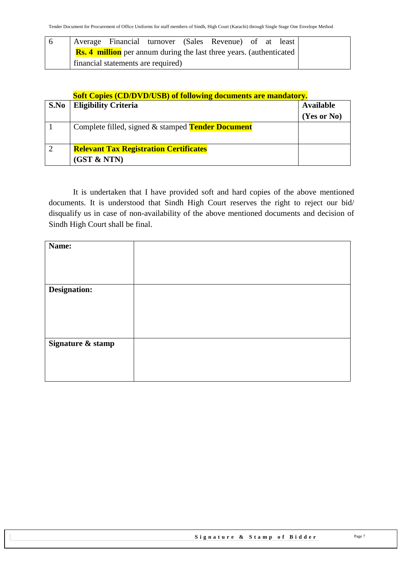|  |                                    |  | Average Financial turnover (Sales Revenue) of at least                     |  |  |
|--|------------------------------------|--|----------------------------------------------------------------------------|--|--|
|  |                                    |  | <b>Rs. 4 million</b> per annum during the last three years. (authenticated |  |  |
|  | financial statements are required) |  |                                                                            |  |  |

#### **Soft Copies (CD/DVD/USB) of following documents are mandatory.**

| S.No | <b>Eligibility Criteria</b>                              | <b>Available</b> |
|------|----------------------------------------------------------|------------------|
|      |                                                          | (Yes or No)      |
|      | Complete filled, signed & stamped <b>Tender Document</b> |                  |
|      |                                                          |                  |
|      | <b>Relevant Tax Registration Certificates</b>            |                  |
|      | (GST & NTN)                                              |                  |

It is undertaken that I have provided soft and hard copies of the above mentioned documents. It is understood that Sindh High Court reserves the right to reject our bid/ disqualify us in case of non-availability of the above mentioned documents and decision of Sindh High Court shall be final.

| Name:             |  |
|-------------------|--|
| Designation:      |  |
|                   |  |
|                   |  |
|                   |  |
| Signature & stamp |  |
|                   |  |
|                   |  |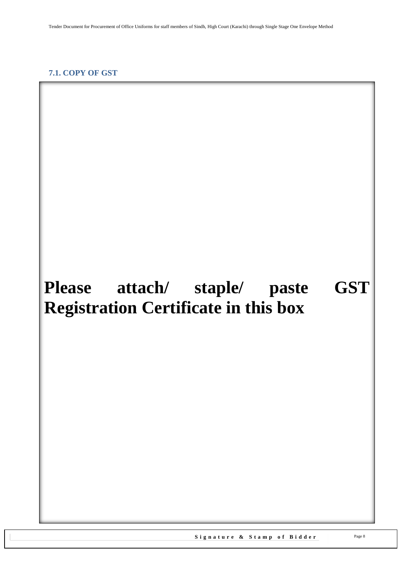#### <span id="page-7-1"></span><span id="page-7-0"></span>**7.1. COPY OF GST**

# **Please attach/ staple/ paste GST Registration Certificate in this box**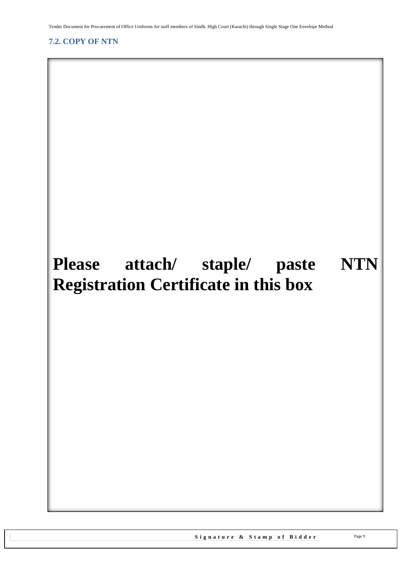<span id="page-8-1"></span>Tender Document for Procurement of Office Uniforms for staff members of Sindh, High Court (Karachi) through Single Stage One Envelope Method

### <span id="page-8-0"></span>**7.2. COPY OF NTN**

# **Please attach/ staple/ paste NTN Registration Certificate in this box**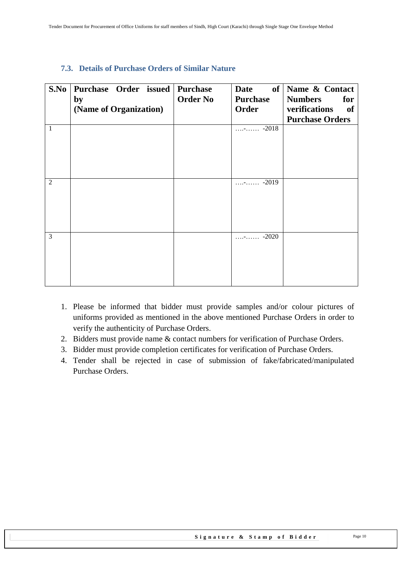| S.No         | Purchase Order issued Purchase |                 | <b>Date</b>               | of Name & Contact      |
|--------------|--------------------------------|-----------------|---------------------------|------------------------|
|              | by                             | <b>Order No</b> | <b>Purchase</b>           | <b>Numbers</b><br>for  |
|              | (Name of Organization)         |                 | Order                     | verifications<br>of    |
|              |                                |                 |                           | <b>Purchase Orders</b> |
| $\mathbf{1}$ |                                |                 | $\cdots$ - $\cdots$ -2018 |                        |
|              |                                |                 |                           |                        |
|              |                                |                 |                           |                        |
|              |                                |                 |                           |                        |
|              |                                |                 |                           |                        |
| 2            |                                |                 | $\cdots$ - $\cdots$ -2019 |                        |
|              |                                |                 |                           |                        |
|              |                                |                 |                           |                        |
|              |                                |                 |                           |                        |
|              |                                |                 |                           |                        |
| 3            |                                |                 | $\cdots$ - $\cdots$ -2020 |                        |
|              |                                |                 |                           |                        |
|              |                                |                 |                           |                        |
|              |                                |                 |                           |                        |
|              |                                |                 |                           |                        |
|              |                                |                 |                           |                        |

#### <span id="page-9-0"></span>**7.3. Details of Purchase Orders of Similar Nature**

- 1. Please be informed that bidder must provide samples and/or colour pictures of uniforms provided as mentioned in the above mentioned Purchase Orders in order to verify the authenticity of Purchase Orders.
- 2. Bidders must provide name & contact numbers for verification of Purchase Orders.
- 3. Bidder must provide completion certificates for verification of Purchase Orders.
- 4. Tender shall be rejected in case of submission of fake/fabricated/manipulated Purchase Orders.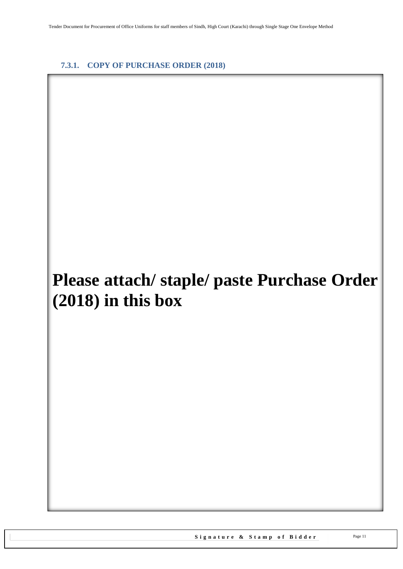#### <span id="page-10-0"></span>**7.3.1. COPY OF PURCHASE ORDER (2018)**

# **Please attach/ staple/ paste Purchase Order (2018) in this box**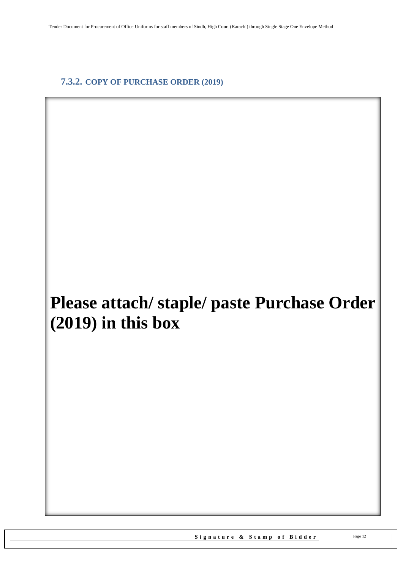### <span id="page-11-0"></span>**7.3.2. COPY OF PURCHASE ORDER (2019)**

# **Please attach/ staple/ paste Purchase Order (2019) in this box**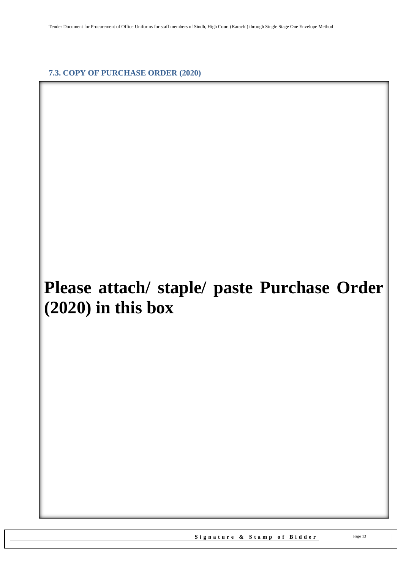<span id="page-12-0"></span>**7.3. COPY OF PURCHASE ORDER (2020)**

# **Please attach/ staple/ paste Purchase Order (2020) in this box**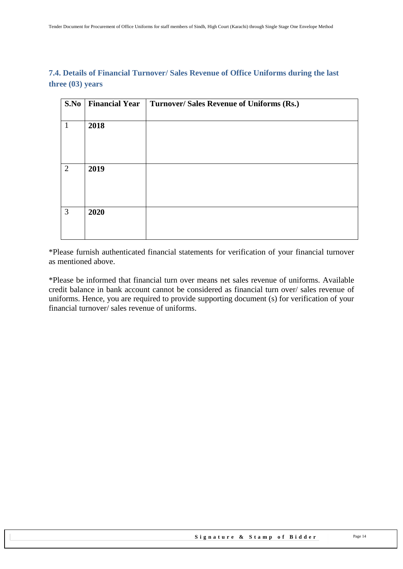#### <span id="page-13-0"></span>**7.4. Details of Financial Turnover/ Sales Revenue of Office Uniforms during the last three (03) years**

| S.No         | <b>Financial Year</b> | Turnover/ Sales Revenue of Uniforms (Rs.) |
|--------------|-----------------------|-------------------------------------------|
| $\mathbf{1}$ | 2018                  |                                           |
|              |                       |                                           |
| 2            | 2019                  |                                           |
| 3            | 2020                  |                                           |

\*Please furnish authenticated financial statements for verification of your financial turnover as mentioned above.

\*Please be informed that financial turn over means net sales revenue of uniforms. Available credit balance in bank account cannot be considered as financial turn over/ sales revenue of uniforms. Hence, you are required to provide supporting document (s) for verification of your financial turnover/ sales revenue of uniforms.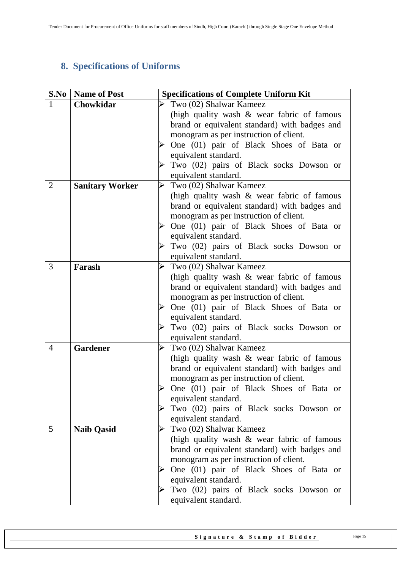# <span id="page-14-0"></span>**8. Specifications of Uniforms**

| S.No           | <b>Name of Post</b>    | <b>Specifications of Complete Uniform Kit</b> |  |  |
|----------------|------------------------|-----------------------------------------------|--|--|
| $\mathbf{1}$   | Chowkidar              | Two (02) Shalwar Kameez                       |  |  |
|                |                        | (high quality wash & wear fabric of famous    |  |  |
|                |                        | brand or equivalent standard) with badges and |  |  |
|                |                        | monogram as per instruction of client.        |  |  |
|                |                        | One (01) pair of Black Shoes of Bata or       |  |  |
|                |                        | equivalent standard.                          |  |  |
|                |                        | Two (02) pairs of Black socks Dowson or       |  |  |
|                |                        | equivalent standard.                          |  |  |
| $\overline{2}$ | <b>Sanitary Worker</b> | Two (02) Shalwar Kameez<br>➤                  |  |  |
|                |                        | (high quality wash & wear fabric of famous    |  |  |
|                |                        | brand or equivalent standard) with badges and |  |  |
|                |                        | monogram as per instruction of client.        |  |  |
|                |                        | One (01) pair of Black Shoes of Bata or       |  |  |
|                |                        | equivalent standard.                          |  |  |
|                |                        | Two (02) pairs of Black socks Dowson or       |  |  |
|                |                        | equivalent standard.                          |  |  |
| 3              | Farash                 | Two (02) Shalwar Kameez                       |  |  |
|                |                        | (high quality wash & wear fabric of famous    |  |  |
|                |                        | brand or equivalent standard) with badges and |  |  |
|                |                        | monogram as per instruction of client.        |  |  |
|                |                        | One (01) pair of Black Shoes of Bata or       |  |  |
|                |                        | equivalent standard.                          |  |  |
|                |                        | Two (02) pairs of Black socks Dowson or       |  |  |
|                |                        | equivalent standard.                          |  |  |
| $\overline{4}$ | <b>Gardener</b>        | Two (02) Shalwar Kameez<br>➤                  |  |  |
|                |                        | (high quality wash & wear fabric of famous    |  |  |
|                |                        | brand or equivalent standard) with badges and |  |  |
|                |                        | monogram as per instruction of client.        |  |  |
|                |                        | One (01) pair of Black Shoes of Bata or       |  |  |
|                |                        | equivalent standard.                          |  |  |
|                |                        | Two (02) pairs of Black socks Dowson or<br>➤  |  |  |
|                |                        | equivalent standard.                          |  |  |
| 5              | <b>Naib Qasid</b>      | Two (02) Shalwar Kameez<br>⋗                  |  |  |
|                |                        | (high quality wash & wear fabric of famous    |  |  |
|                |                        | brand or equivalent standard) with badges and |  |  |
|                |                        | monogram as per instruction of client.        |  |  |
|                |                        | One (01) pair of Black Shoes of Bata or       |  |  |
|                |                        | equivalent standard.                          |  |  |
|                |                        | Two (02) pairs of Black socks Dowson or       |  |  |
|                |                        | equivalent standard.                          |  |  |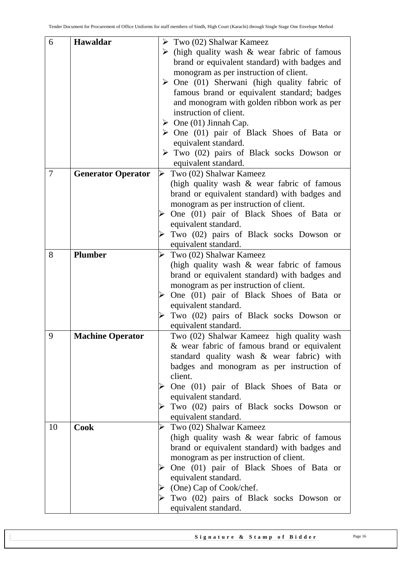| 6              | Hawaldar                  | $\triangleright$ Two (02) Shalwar Kameez                    |
|----------------|---------------------------|-------------------------------------------------------------|
|                |                           | $\triangleright$ (high quality wash & wear fabric of famous |
|                |                           | brand or equivalent standard) with badges and               |
|                |                           | monogram as per instruction of client.                      |
|                |                           | $\triangleright$ One (01) Sherwani (high quality fabric of  |
|                |                           | famous brand or equivalent standard; badges                 |
|                |                           | and monogram with golden ribbon work as per                 |
|                |                           | instruction of client.                                      |
|                |                           | $\triangleright$ One (01) Jinnah Cap.                       |
|                |                           | $\triangleright$ One (01) pair of Black Shoes of Bata or    |
|                |                           | equivalent standard.                                        |
|                |                           | $\triangleright$ Two (02) pairs of Black socks Dowson or    |
|                |                           | equivalent standard.                                        |
| $\overline{7}$ | <b>Generator Operator</b> | Two (02) Shalwar Kameez<br>➤                                |
|                |                           | (high quality wash & wear fabric of famous                  |
|                |                           | brand or equivalent standard) with badges and               |
|                |                           | monogram as per instruction of client.                      |
|                |                           | One (01) pair of Black Shoes of Bata or                     |
|                |                           | equivalent standard.                                        |
|                |                           | Two (02) pairs of Black socks Dowson or                     |
|                |                           | equivalent standard.                                        |
| 8              | <b>Plumber</b>            | Two (02) Shalwar Kameez<br>➤                                |
|                |                           | (high quality wash $\&$ wear fabric of famous               |
|                |                           | brand or equivalent standard) with badges and               |
|                |                           | monogram as per instruction of client.                      |
|                |                           | One (01) pair of Black Shoes of Bata or<br>➤                |
|                |                           | equivalent standard.                                        |
|                |                           | Two (02) pairs of Black socks Dowson or                     |
|                |                           | equivalent standard.                                        |
| 9              | <b>Machine Operator</b>   | Two (02) Shalwar Kameez high quality wash                   |
|                |                           | & wear fabric of famous brand or equivalent                 |
|                |                           | standard quality wash & wear fabric) with                   |
|                |                           | badges and monogram as per instruction of                   |
|                |                           | client.                                                     |
|                |                           | One (01) pair of Black Shoes of Bata or                     |
|                |                           | equivalent standard.                                        |
|                |                           | Two (02) pairs of Black socks Dowson or                     |
|                |                           | equivalent standard.                                        |
| 10             | <b>Cook</b>               | Two (02) Shalwar Kameez<br>➤                                |
|                |                           | (high quality wash & wear fabric of famous                  |
|                |                           | brand or equivalent standard) with badges and               |
|                |                           | monogram as per instruction of client.                      |
|                |                           | One (01) pair of Black Shoes of Bata or<br>➤                |
|                |                           | equivalent standard.                                        |
|                |                           | (One) Cap of Cook/chef.                                     |
|                |                           | Two (02) pairs of Black socks Dowson or                     |
|                |                           | equivalent standard.                                        |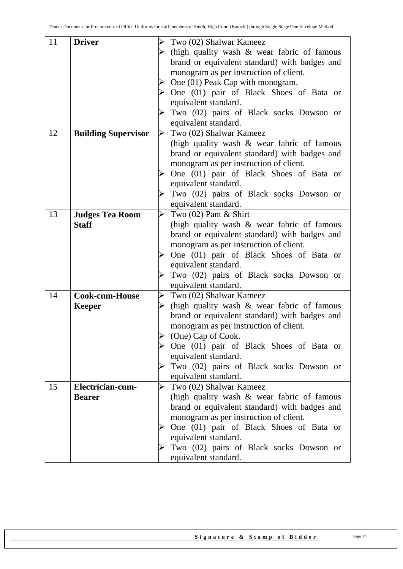| 11 | <b>Driver</b>              | ➤                     | Two (02) Shalwar Kameez                                  |
|----|----------------------------|-----------------------|----------------------------------------------------------|
|    |                            |                       | (high quality wash $\&$ wear fabric of famous            |
|    |                            |                       | brand or equivalent standard) with badges and            |
|    |                            |                       | monogram as per instruction of client.                   |
|    |                            |                       | One (01) Peak Cap with monogram.                         |
|    |                            |                       | $\triangleright$ One (01) pair of Black Shoes of Bata or |
|    |                            |                       | equivalent standard.                                     |
|    |                            |                       | Two (02) pairs of Black socks Dowson or                  |
|    |                            |                       | equivalent standard.                                     |
| 12 | <b>Building Supervisor</b> | $\blacktriangleright$ | Two (02) Shalwar Kameez                                  |
|    |                            |                       | (high quality wash $\&$ wear fabric of famous            |
|    |                            |                       |                                                          |
|    |                            |                       | brand or equivalent standard) with badges and            |
|    |                            |                       | monogram as per instruction of client.                   |
|    |                            |                       | One (01) pair of Black Shoes of Bata or                  |
|    |                            |                       | equivalent standard.                                     |
|    |                            |                       | Two (02) pairs of Black socks Dowson or                  |
|    |                            |                       | equivalent standard.                                     |
| 13 | <b>Judges Tea Room</b>     | ➤                     | Two $(02)$ Pant & Shirt                                  |
|    | <b>Staff</b>               |                       | (high quality wash $\&$ wear fabric of famous            |
|    |                            |                       | brand or equivalent standard) with badges and            |
|    |                            |                       | monogram as per instruction of client.                   |
|    |                            |                       | One (01) pair of Black Shoes of Bata or                  |
|    |                            |                       | equivalent standard.                                     |
|    |                            |                       | Two (02) pairs of Black socks Dowson or                  |
|    |                            |                       | equivalent standard.                                     |
| 14 | Cook-cum-House             |                       | $\triangleright$ Two (02) Shalwar Kameez                 |
|    | <b>Keeper</b>              |                       | (high quality wash & wear fabric of famous               |
|    |                            |                       | brand or equivalent standard) with badges and            |
|    |                            |                       | monogram as per instruction of client.                   |
|    |                            | $\blacktriangleright$ | (One) Cap of Cook.                                       |
|    |                            |                       | $\triangleright$ One (01) pair of Black Shoes of Bata or |
|    |                            |                       | equivalent standard.                                     |
|    |                            |                       | Two (02) pairs of Black socks Dowson or                  |
|    |                            |                       | equivalent standard.                                     |
| 15 | Electrician-cum-           | $\blacktriangleright$ | Two (02) Shalwar Kameez                                  |
|    | <b>Bearer</b>              |                       | (high quality wash $\&$ wear fabric of famous            |
|    |                            |                       | brand or equivalent standard) with badges and            |
|    |                            |                       | monogram as per instruction of client.                   |
|    |                            | $\blacktriangle$      | One (01) pair of Black Shoes of Bata or                  |
|    |                            |                       | equivalent standard.                                     |
|    |                            |                       |                                                          |
|    |                            |                       | Two (02) pairs of Black socks Dowson or                  |
|    |                            |                       | equivalent standard.                                     |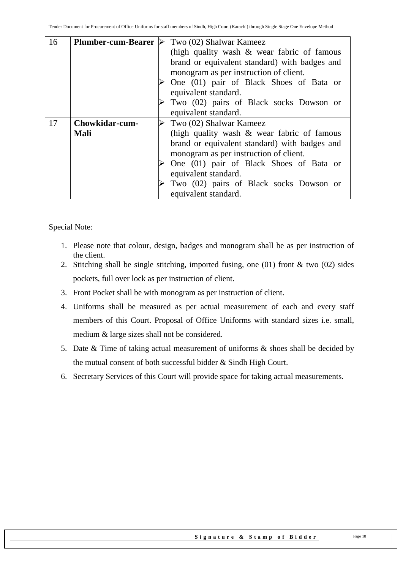| 16 | <b>Plumber-cum-Bearer</b> | Two (02) Shalwar Kameez                       |  |
|----|---------------------------|-----------------------------------------------|--|
|    |                           | (high quality wash $\&$ wear fabric of famous |  |
|    |                           | brand or equivalent standard) with badges and |  |
|    |                           | monogram as per instruction of client.        |  |
|    |                           | One (01) pair of Black Shoes of Bata or       |  |
|    |                           | equivalent standard.                          |  |
|    |                           | Two (02) pairs of Black socks Dowson or       |  |
|    |                           | equivalent standard.                          |  |
| 17 | <b>Chowkidar-cum-</b>     | Two (02) Shalwar Kameez                       |  |
|    | <b>Mali</b>               | (high quality wash $\&$ wear fabric of famous |  |
|    |                           | brand or equivalent standard) with badges and |  |
|    |                           | monogram as per instruction of client.        |  |
|    |                           | One (01) pair of Black Shoes of Bata or       |  |
|    |                           |                                               |  |
|    |                           | equivalent standard.                          |  |
|    |                           | Two (02) pairs of Black socks Dowson or       |  |

Special Note:

- 1. Please note that colour, design, badges and monogram shall be as per instruction of the client.
- 2. Stitching shall be single stitching, imported fusing, one (01) front & two (02) sides pockets, full over lock as per instruction of client.
- 3. Front Pocket shall be with monogram as per instruction of client.
- 4. Uniforms shall be measured as per actual measurement of each and every staff members of this Court. Proposal of Office Uniforms with standard sizes i.e. small, medium & large sizes shall not be considered.
- 5. Date & Time of taking actual measurement of uniforms & shoes shall be decided by the mutual consent of both successful bidder & Sindh High Court.
- 6. Secretary Services of this Court will provide space for taking actual measurements.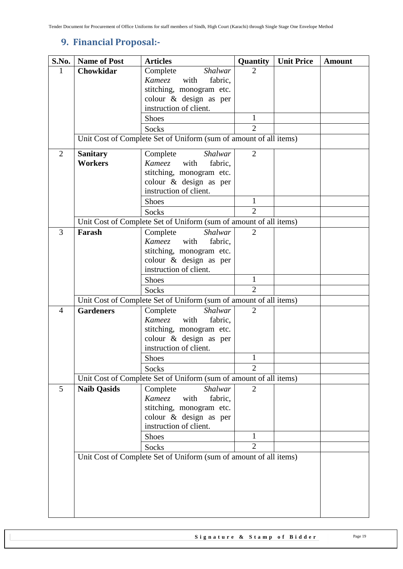# <span id="page-18-0"></span>**9. Financial Proposal:-**

| S.No.          | <b>Name of Post</b> | <b>Articles</b>                                                   | Quantity       | <b>Unit Price</b> | <b>Amount</b> |
|----------------|---------------------|-------------------------------------------------------------------|----------------|-------------------|---------------|
| 1              | Chowkidar           | Complete<br>Shalwar                                               | 2              |                   |               |
|                |                     | Kameez<br>fabric,<br>with                                         |                |                   |               |
|                |                     | stitching, monogram etc.                                          |                |                   |               |
|                |                     | colour & design as per                                            |                |                   |               |
|                |                     | instruction of client.                                            |                |                   |               |
|                |                     | <b>Shoes</b>                                                      | 1              |                   |               |
|                |                     | <b>Socks</b>                                                      | $\overline{2}$ |                   |               |
|                |                     | Unit Cost of Complete Set of Uniform (sum of amount of all items) |                |                   |               |
| $\overline{2}$ | <b>Sanitary</b>     | Complete<br><b>Shalwar</b>                                        | $\overline{2}$ |                   |               |
|                | <b>Workers</b>      | Kameez with<br>fabric,                                            |                |                   |               |
|                |                     | stitching, monogram etc.                                          |                |                   |               |
|                |                     | colour & design as per                                            |                |                   |               |
|                |                     | instruction of client.                                            |                |                   |               |
|                |                     | <b>Shoes</b>                                                      | 1              |                   |               |
|                |                     | <b>Socks</b>                                                      | $\overline{2}$ |                   |               |
|                |                     | Unit Cost of Complete Set of Uniform (sum of amount of all items) |                |                   |               |
| 3              | Farash              | Complete<br><b>Shalwar</b>                                        | $\overline{2}$ |                   |               |
|                |                     | with<br>fabric,<br>Kameez                                         |                |                   |               |
|                |                     | stitching, monogram etc.                                          |                |                   |               |
|                |                     | colour & design as per                                            |                |                   |               |
|                |                     | instruction of client.                                            |                |                   |               |
|                |                     | <b>Shoes</b>                                                      | $\mathbf{1}$   |                   |               |
|                |                     | <b>Socks</b>                                                      | $\overline{2}$ |                   |               |
|                |                     | Unit Cost of Complete Set of Uniform (sum of amount of all items) |                |                   |               |
| $\overline{4}$ | <b>Gardeners</b>    | Complete<br><b>Shalwar</b>                                        | $\overline{2}$ |                   |               |
|                |                     | Kameez<br>with<br>fabric,                                         |                |                   |               |
|                |                     | stitching, monogram etc.                                          |                |                   |               |
|                |                     | colour & design as per                                            |                |                   |               |
|                |                     | instruction of client.                                            |                |                   |               |
|                |                     | <b>Shoes</b>                                                      | $\mathbf{1}$   |                   |               |
|                |                     | Socks                                                             | $\overline{2}$ |                   |               |
|                |                     | Unit Cost of Complete Set of Uniform (sum of amount of all items) |                |                   |               |
| 5              | <b>Naib Qasids</b>  | Shalwar<br>Complete                                               | 2              |                   |               |
|                |                     | <b>Kameez</b><br>with<br>fabric,                                  |                |                   |               |
|                |                     | stitching, monogram etc.                                          |                |                   |               |
|                |                     | colour & design as per                                            |                |                   |               |
|                |                     | instruction of client.                                            |                |                   |               |
|                |                     | <b>Shoes</b>                                                      | 1              |                   |               |
|                |                     | Socks                                                             | $\overline{2}$ |                   |               |
|                |                     | Unit Cost of Complete Set of Uniform (sum of amount of all items) |                |                   |               |
|                |                     |                                                                   |                |                   |               |
|                |                     |                                                                   |                |                   |               |
|                |                     |                                                                   |                |                   |               |
|                |                     |                                                                   |                |                   |               |
|                |                     |                                                                   |                |                   |               |
|                |                     |                                                                   |                |                   |               |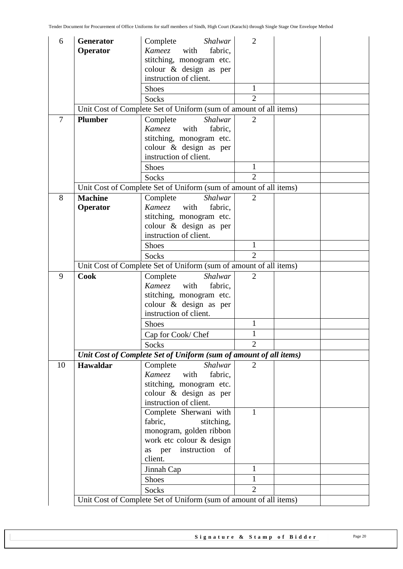| 6              | Generator       | Complete<br>Shalwar                                                        | $\overline{2}$ |  |
|----------------|-----------------|----------------------------------------------------------------------------|----------------|--|
|                | Operator        | with<br>Kameez<br>fabric,                                                  |                |  |
|                |                 | stitching, monogram etc.                                                   |                |  |
|                |                 | colour & design as per                                                     |                |  |
|                |                 | instruction of client.                                                     |                |  |
|                |                 | <b>Shoes</b>                                                               | $\mathbf{1}$   |  |
|                |                 | <b>Socks</b>                                                               | $\overline{2}$ |  |
|                |                 | Unit Cost of Complete Set of Uniform (sum of amount of all items)          |                |  |
| $\overline{7}$ | <b>Plumber</b>  | Complete<br><b>Shalwar</b>                                                 | $\overline{2}$ |  |
|                |                 | Kameez<br>fabric,<br>with                                                  |                |  |
|                |                 | stitching, monogram etc.                                                   |                |  |
|                |                 | colour & design as per                                                     |                |  |
|                |                 | instruction of client.                                                     |                |  |
|                |                 | <b>Shoes</b>                                                               | 1              |  |
|                |                 | Socks                                                                      | $\overline{2}$ |  |
|                |                 | Unit Cost of Complete Set of Uniform (sum of amount of all items)          |                |  |
| 8              | <b>Machine</b>  | Complete<br><b>Shalwar</b>                                                 | $\overline{2}$ |  |
|                | Operator        | Kameez with<br>fabric,                                                     |                |  |
|                |                 | stitching, monogram etc.<br>colour & design as per                         |                |  |
|                |                 | instruction of client.                                                     |                |  |
|                |                 | <b>Shoes</b>                                                               | 1              |  |
|                |                 | <b>Socks</b>                                                               | $\overline{2}$ |  |
|                |                 | Unit Cost of Complete Set of Uniform (sum of amount of all items)          |                |  |
| 9              | <b>Cook</b>     | Complete<br>Shalwar                                                        | $\overline{2}$ |  |
|                |                 | with<br>Kameez<br>fabric,                                                  |                |  |
|                |                 |                                                                            |                |  |
|                |                 |                                                                            |                |  |
|                |                 | stitching, monogram etc.                                                   |                |  |
|                |                 | colour & design as per<br>instruction of client.                           |                |  |
|                |                 | <b>Shoes</b>                                                               | $\mathbf{1}$   |  |
|                |                 | Cap for Cook/ Chef                                                         | $\mathbf{1}$   |  |
|                |                 | Socks                                                                      | $\overline{2}$ |  |
|                |                 | Unit Cost of Complete Set of Uniform (sum of amount of all items)          |                |  |
| 10             | <b>Hawaldar</b> | Complete<br>Shalwar                                                        | $\overline{2}$ |  |
|                |                 | Kameez with<br>fabric,                                                     |                |  |
|                |                 | stitching, monogram etc.                                                   |                |  |
|                |                 | colour & design as per                                                     |                |  |
|                |                 | instruction of client.                                                     |                |  |
|                |                 | Complete Sherwani with                                                     | $\mathbf{1}$   |  |
|                |                 | fabric,<br>stitching,                                                      |                |  |
|                |                 | monogram, golden ribbon                                                    |                |  |
|                |                 | work etc colour & design                                                   |                |  |
|                |                 | instruction<br>of<br>as per                                                |                |  |
|                |                 | client.                                                                    |                |  |
|                |                 | Jinnah Cap                                                                 | 1<br>1         |  |
|                |                 | Shoes                                                                      |                |  |
|                |                 | Socks<br>Unit Cost of Complete Set of Uniform (sum of amount of all items) | $\overline{2}$ |  |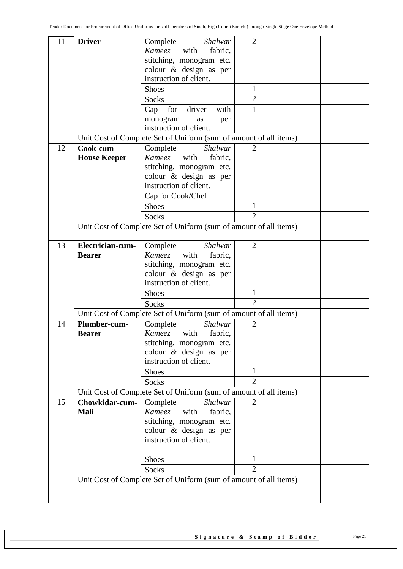| 11 | <b>Driver</b>                                                     | Complete<br>Shalwar                                               | $\overline{2}$ |  |  |  |  |
|----|-------------------------------------------------------------------|-------------------------------------------------------------------|----------------|--|--|--|--|
|    |                                                                   | <i>Kameez</i> with<br>fabric,                                     |                |  |  |  |  |
|    |                                                                   | stitching, monogram etc.                                          |                |  |  |  |  |
|    |                                                                   | colour & design as per                                            |                |  |  |  |  |
|    |                                                                   | instruction of client.                                            |                |  |  |  |  |
|    |                                                                   | <b>Shoes</b>                                                      | 1              |  |  |  |  |
|    |                                                                   | <b>Socks</b>                                                      | $\overline{2}$ |  |  |  |  |
|    |                                                                   | driver<br>for<br>with<br>Cap                                      | $\mathbf{1}$   |  |  |  |  |
|    |                                                                   | monogram<br>as<br>per                                             |                |  |  |  |  |
|    |                                                                   | instruction of client.                                            |                |  |  |  |  |
|    |                                                                   | Unit Cost of Complete Set of Uniform (sum of amount of all items) |                |  |  |  |  |
| 12 | Cook-cum-                                                         | Complete<br>Shalwar                                               | $\overline{2}$ |  |  |  |  |
|    | <b>House Keeper</b>                                               | Kameez<br>with<br>fabric,                                         |                |  |  |  |  |
|    |                                                                   | stitching, monogram etc.                                          |                |  |  |  |  |
|    |                                                                   | colour & design as per                                            |                |  |  |  |  |
|    |                                                                   | instruction of client.                                            |                |  |  |  |  |
|    |                                                                   | Cap for Cook/Chef                                                 |                |  |  |  |  |
|    |                                                                   | <b>Shoes</b>                                                      | $\mathbf{1}$   |  |  |  |  |
|    |                                                                   | Socks                                                             | $\overline{2}$ |  |  |  |  |
|    |                                                                   | Unit Cost of Complete Set of Uniform (sum of amount of all items) |                |  |  |  |  |
|    |                                                                   |                                                                   |                |  |  |  |  |
| 13 | Electrician-cum-                                                  | Complete<br>Shalwar                                               | $\overline{2}$ |  |  |  |  |
|    | <b>Bearer</b>                                                     | Kameez<br>with<br>fabric,                                         |                |  |  |  |  |
|    |                                                                   | stitching, monogram etc.                                          |                |  |  |  |  |
|    |                                                                   | colour & design as per                                            |                |  |  |  |  |
|    |                                                                   | instruction of client.                                            |                |  |  |  |  |
|    |                                                                   | Shoes                                                             | 1              |  |  |  |  |
|    |                                                                   | Socks                                                             | $\overline{2}$ |  |  |  |  |
|    | Unit Cost of Complete Set of Uniform (sum of amount of all items) |                                                                   |                |  |  |  |  |
| 14 | Plumber-cum-                                                      | Complete<br><b>Shalwar</b>                                        | $\overline{2}$ |  |  |  |  |
|    | <b>Bearer</b>                                                     | Kameez with<br>fabric,                                            |                |  |  |  |  |
|    |                                                                   | stitching, monogram etc.<br>colour & design as per                |                |  |  |  |  |
|    |                                                                   | instruction of client.                                            |                |  |  |  |  |
|    |                                                                   | <b>Shoes</b>                                                      | 1              |  |  |  |  |
|    |                                                                   | <b>Socks</b>                                                      | $\overline{2}$ |  |  |  |  |
|    | Unit Cost of Complete Set of Uniform (sum of amount of all items) |                                                                   |                |  |  |  |  |
| 15 | Chowkidar-cum-                                                    | Complete<br><b>Shalwar</b>                                        | $\overline{2}$ |  |  |  |  |
|    | <b>Mali</b>                                                       | <b>Kameez</b><br>with<br>fabric,                                  |                |  |  |  |  |
|    |                                                                   | stitching, monogram etc.                                          |                |  |  |  |  |
|    |                                                                   | colour & design as per                                            |                |  |  |  |  |
|    |                                                                   | instruction of client.                                            |                |  |  |  |  |
|    |                                                                   |                                                                   |                |  |  |  |  |
|    |                                                                   | <b>Shoes</b>                                                      | 1              |  |  |  |  |
|    |                                                                   | Socks                                                             | $\overline{2}$ |  |  |  |  |
|    |                                                                   | Unit Cost of Complete Set of Uniform (sum of amount of all items) |                |  |  |  |  |
|    |                                                                   |                                                                   |                |  |  |  |  |
|    |                                                                   |                                                                   |                |  |  |  |  |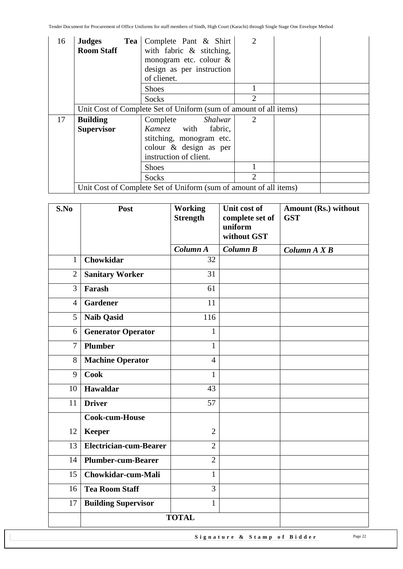| 16 | <b>Judges</b><br><b>Room Staff</b> | Tea Complete Pant & Shirt<br>with fabric $\&$ stitching,<br>monogram etc. colour $\&$<br>design as per instruction<br>of clienet. | 2              |  |
|----|------------------------------------|-----------------------------------------------------------------------------------------------------------------------------------|----------------|--|
|    |                                    | <b>Shoes</b>                                                                                                                      |                |  |
|    |                                    | Socks                                                                                                                             | $\mathfrak{2}$ |  |
|    |                                    | Unit Cost of Complete Set of Uniform (sum of amount of all items)                                                                 |                |  |
| 17 | <b>Building</b>                    | Complete Shalwar                                                                                                                  | 2              |  |
|    | <b>Supervisor</b>                  | Kameez with fabric,                                                                                                               |                |  |
|    | stitching, monogram etc.           |                                                                                                                                   |                |  |
|    |                                    | colour & design as per<br>instruction of client.                                                                                  |                |  |
|    |                                    | Shoes                                                                                                                             |                |  |
|    |                                    | Socks                                                                                                                             | $\overline{2}$ |  |
|    |                                    | Unit Cost of Complete Set of Uniform (sum of amount of all items)                                                                 |                |  |

| S.No           | Post                          | <b>Working</b><br><b>Strength</b> | Unit cost of<br>complete set of<br>uniform | Amount (Rs.) without<br><b>GST</b> |
|----------------|-------------------------------|-----------------------------------|--------------------------------------------|------------------------------------|
|                |                               |                                   | without GST                                |                                    |
|                |                               | Column A                          | Column B                                   | Column $A X B$                     |
| $\mathbf{1}$   | <b>Chowkidar</b>              | 32                                |                                            |                                    |
| $\overline{2}$ | <b>Sanitary Worker</b>        | 31                                |                                            |                                    |
| 3              | Farash                        | 61                                |                                            |                                    |
| $\overline{4}$ | <b>Gardener</b>               | 11                                |                                            |                                    |
| 5              | <b>Naib Qasid</b>             | 116                               |                                            |                                    |
| 6              | <b>Generator Operator</b>     | $\mathbf{1}$                      |                                            |                                    |
| $\overline{7}$ | <b>Plumber</b>                | $\mathbf{1}$                      |                                            |                                    |
| 8              | <b>Machine Operator</b>       | $\overline{4}$                    |                                            |                                    |
| 9              | <b>Cook</b>                   | $\mathbf{1}$                      |                                            |                                    |
| 10             | <b>Hawaldar</b>               | 43                                |                                            |                                    |
| 11             | <b>Driver</b>                 | 57                                |                                            |                                    |
|                | Cook-cum-House                |                                   |                                            |                                    |
| 12             | <b>Keeper</b>                 | $\overline{2}$                    |                                            |                                    |
| 13             | <b>Electrician-cum-Bearer</b> | $\overline{2}$                    |                                            |                                    |
| 14             | <b>Plumber-cum-Bearer</b>     | $\overline{2}$                    |                                            |                                    |
| 15             | Chowkidar-cum-Mali            | $\mathbf{1}$                      |                                            |                                    |
| 16             | <b>Tea Room Staff</b>         | 3                                 |                                            |                                    |
| 17             | <b>Building Supervisor</b>    | $\mathbf{1}$                      |                                            |                                    |
|                | <b>TOTAL</b>                  |                                   |                                            |                                    |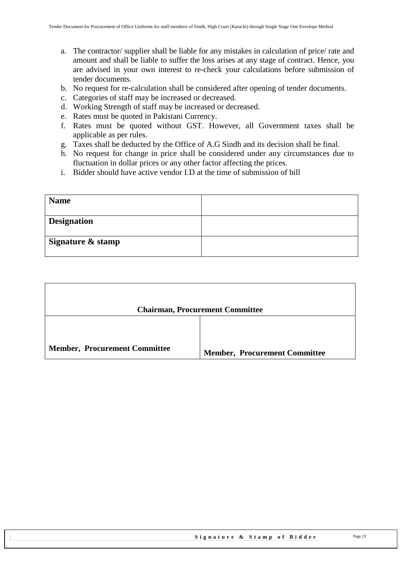- a. The contractor/ supplier shall be liable for any mistakes in calculation of price/ rate and amount and shall be liable to suffer the loss arises at any stage of contract. Hence, you are advised in your own interest to re-check your calculations before submission of tender documents.
- b. No request for re-calculation shall be considered after opening of tender documents.
- c. Categories of staff may be increased or decreased.
- d. Working Strength of staff may be increased or decreased.
- e. Rates must be quoted in Pakistani Currency.
- f. Rates must be quoted without GST. However, all Government taxes shall be applicable as per rules.
- g. Taxes shall be deducted by the Office of A.G Sindh and its decision shall be final.
- h. No request for change in price shall be considered under any circumstances due to fluctuation in dollar prices or any other factor affecting the prices.
- i. Bidder should have active vendor I.D at the time of submission of bill

| <b>Name</b>        |  |
|--------------------|--|
| <b>Designation</b> |  |
| Signature & stamp  |  |

|                                      | <b>Chairman, Procurement Committee</b> |
|--------------------------------------|----------------------------------------|
|                                      |                                        |
| <b>Member, Procurement Committee</b> | <b>Member, Procurement Committee</b>   |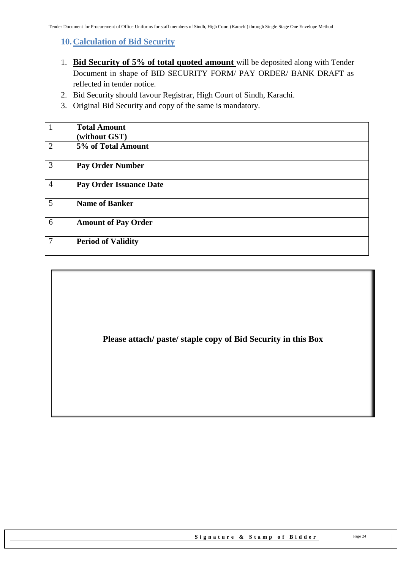<span id="page-23-0"></span>**10.Calculation of Bid Security**

- 1. **Bid Security of 5% of total quoted amount** will be deposited along with Tender Document in shape of BID SECURITY FORM/ PAY ORDER/ BANK DRAFT as reflected in tender notice.
- 2. Bid Security should favour Registrar, High Court of Sindh, Karachi.
- 3. Original Bid Security and copy of the same is mandatory.

|                | <b>Total Amount</b><br>(without GST) |  |
|----------------|--------------------------------------|--|
| $\overline{2}$ | 5% of Total Amount                   |  |
| $\overline{3}$ | <b>Pay Order Number</b>              |  |
| $\overline{4}$ | <b>Pay Order Issuance Date</b>       |  |
| 5              | <b>Name of Banker</b>                |  |
| 6              | <b>Amount of Pay Order</b>           |  |
| $\overline{7}$ | <b>Period of Validity</b>            |  |

### **Please attach/ paste/ staple copy of Bid Security in this Box**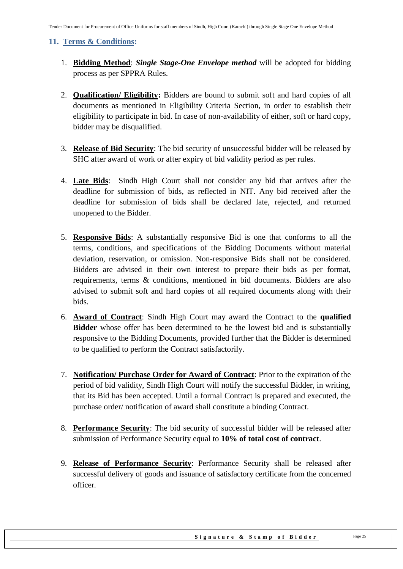#### <span id="page-24-0"></span>**11. Terms & Conditions:**

- 1. **Bidding Method**: *Single Stage-One Envelope method* will be adopted for bidding process as per SPPRA Rules.
- 2. **Qualification/ Eligibility:** Bidders are bound to submit soft and hard copies of all documents as mentioned in Eligibility Criteria Section, in order to establish their eligibility to participate in bid. In case of non-availability of either, soft or hard copy, bidder may be disqualified.
- 3. **Release of Bid Security**: The bid security of unsuccessful bidder will be released by SHC after award of work or after expiry of bid validity period as per rules.
- 4. **Late Bids**: Sindh High Court shall not consider any bid that arrives after the deadline for submission of bids, as reflected in NIT. Any bid received after the deadline for submission of bids shall be declared late, rejected, and returned unopened to the Bidder.
- 5. **Responsive Bids**: A substantially responsive Bid is one that conforms to all the terms, conditions, and specifications of the Bidding Documents without material deviation, reservation, or omission. Non-responsive Bids shall not be considered. Bidders are advised in their own interest to prepare their bids as per format, requirements, terms & conditions, mentioned in bid documents. Bidders are also advised to submit soft and hard copies of all required documents along with their bids.
- 6. **Award of Contract**: Sindh High Court may award the Contract to the **qualified Bidder** whose offer has been determined to be the lowest bid and is substantially responsive to the Bidding Documents, provided further that the Bidder is determined to be qualified to perform the Contract satisfactorily.
- 7. **Notification/ Purchase Order for Award of Contract**: Prior to the expiration of the period of bid validity, Sindh High Court will notify the successful Bidder, in writing, that its Bid has been accepted. Until a formal Contract is prepared and executed, the purchase order/ notification of award shall constitute a binding Contract.
- 8. **Performance Security**: The bid security of successful bidder will be released after submission of Performance Security equal to **10% of total cost of contract**.
- 9. **Release of Performance Security**: Performance Security shall be released after successful delivery of goods and issuance of satisfactory certificate from the concerned officer.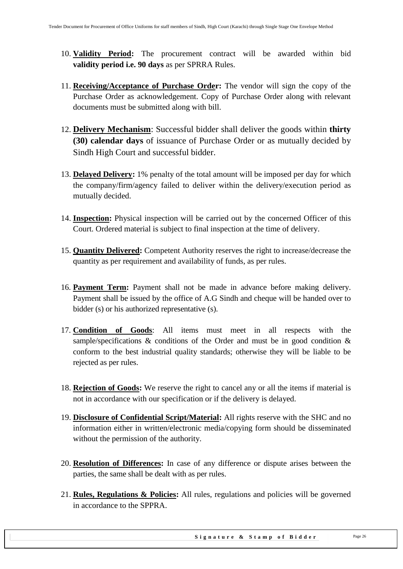- 10. **Validity Period:** The procurement contract will be awarded within bid **validity period i.e. 90 days** as per SPRRA Rules.
- 11. **Receiving/Acceptance of Purchase Order:** The vendor will sign the copy of the Purchase Order as acknowledgement. Copy of Purchase Order along with relevant documents must be submitted along with bill.
- 12. **Delivery Mechanism**: Successful bidder shall deliver the goods within **thirty (30) calendar days** of issuance of Purchase Order or as mutually decided by Sindh High Court and successful bidder.
- 13. **Delayed Delivery:** 1% penalty of the total amount will be imposed per day for which the company/firm/agency failed to deliver within the delivery/execution period as mutually decided.
- 14. **Inspection:** Physical inspection will be carried out by the concerned Officer of this Court. Ordered material is subject to final inspection at the time of delivery.
- 15. **Quantity Delivered:** Competent Authority reserves the right to increase/decrease the quantity as per requirement and availability of funds, as per rules.
- 16. **Payment Term:** Payment shall not be made in advance before making delivery. Payment shall be issued by the office of A.G Sindh and cheque will be handed over to bidder (s) or his authorized representative (s).
- 17. **Condition of Goods**: All items must meet in all respects with the sample/specifications  $\&$  conditions of the Order and must be in good condition  $\&$ conform to the best industrial quality standards; otherwise they will be liable to be rejected as per rules.
- 18. **Rejection of Goods:** We reserve the right to cancel any or all the items if material is not in accordance with our specification or if the delivery is delayed.
- 19. **Disclosure of Confidential Script/Material:** All rights reserve with the SHC and no information either in written/electronic media/copying form should be disseminated without the permission of the authority.
- 20. **Resolution of Differences:** In case of any difference or dispute arises between the parties, the same shall be dealt with as per rules.
- 21. **Rules, Regulations & Policies:** All rules, regulations and policies will be governed in accordance to the SPPRA.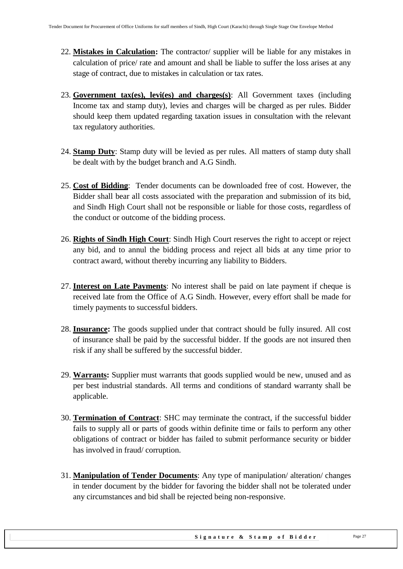- 22. **Mistakes in Calculation:** The contractor/ supplier will be liable for any mistakes in calculation of price/ rate and amount and shall be liable to suffer the loss arises at any stage of contract, due to mistakes in calculation or tax rates.
- 23. **Government tax(es), levi(es) and charges(s)**: All Government taxes (including Income tax and stamp duty), levies and charges will be charged as per rules. Bidder should keep them updated regarding taxation issues in consultation with the relevant tax regulatory authorities.
- 24. **Stamp Duty**: Stamp duty will be levied as per rules. All matters of stamp duty shall be dealt with by the budget branch and A.G Sindh.
- 25. **Cost of Bidding**: Tender documents can be downloaded free of cost. However, the Bidder shall bear all costs associated with the preparation and submission of its bid, and Sindh High Court shall not be responsible or liable for those costs, regardless of the conduct or outcome of the bidding process.
- 26. **Rights of Sindh High Court**: Sindh High Court reserves the right to accept or reject any bid, and to annul the bidding process and reject all bids at any time prior to contract award, without thereby incurring any liability to Bidders.
- 27. **Interest on Late Payments**: No interest shall be paid on late payment if cheque is received late from the Office of A.G Sindh. However, every effort shall be made for timely payments to successful bidders.
- 28. **Insurance:** The goods supplied under that contract should be fully insured. All cost of insurance shall be paid by the successful bidder. If the goods are not insured then risk if any shall be suffered by the successful bidder.
- 29. **Warrants:** Supplier must warrants that goods supplied would be new, unused and as per best industrial standards. All terms and conditions of standard warranty shall be applicable.
- 30. **Termination of Contract**: SHC may terminate the contract, if the successful bidder fails to supply all or parts of goods within definite time or fails to perform any other obligations of contract or bidder has failed to submit performance security or bidder has involved in fraud/ corruption.
- 31. **Manipulation of Tender Documents**: Any type of manipulation/ alteration/ changes in tender document by the bidder for favoring the bidder shall not be tolerated under any circumstances and bid shall be rejected being non-responsive.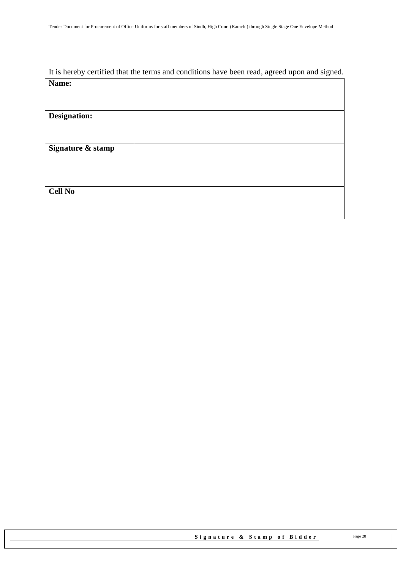### It is hereby certified that the terms and conditions have been read, agreed upon and signed.

| Name:             |  |
|-------------------|--|
|                   |  |
|                   |  |
| Designation:      |  |
|                   |  |
|                   |  |
|                   |  |
| Signature & stamp |  |
|                   |  |
|                   |  |
|                   |  |
| <b>Cell No</b>    |  |
|                   |  |
|                   |  |
|                   |  |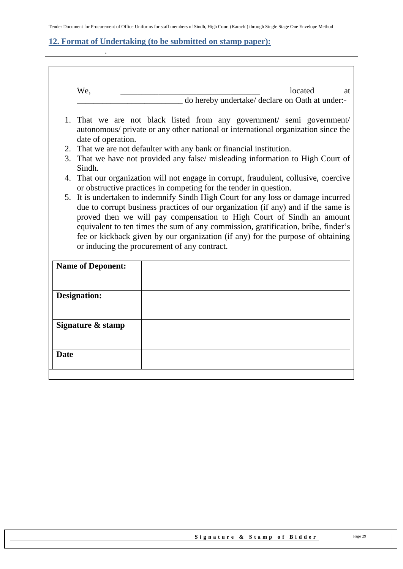### <span id="page-28-0"></span>**12. Format of Undertaking (to be submitted on stamp paper):**

.

 $\overline{\mathbb{I}}$ 

|    | We,                      | located<br>at<br>do hereby undertake/ declare on Oath at under:-                                                                                                                                                                                                                                                                                                                                                                                                        |
|----|--------------------------|-------------------------------------------------------------------------------------------------------------------------------------------------------------------------------------------------------------------------------------------------------------------------------------------------------------------------------------------------------------------------------------------------------------------------------------------------------------------------|
|    |                          |                                                                                                                                                                                                                                                                                                                                                                                                                                                                         |
|    | date of operation.       | 1. That we are not black listed from any government/ semi government/<br>autonomous/ private or any other national or international organization since the                                                                                                                                                                                                                                                                                                              |
|    |                          | 2. That we are not defaulter with any bank or financial institution.                                                                                                                                                                                                                                                                                                                                                                                                    |
|    | Sindh.                   | 3. That we have not provided any false/ misleading information to High Court of                                                                                                                                                                                                                                                                                                                                                                                         |
| 4. |                          | That our organization will not engage in corrupt, fraudulent, collusive, coercive<br>or obstructive practices in competing for the tender in question.                                                                                                                                                                                                                                                                                                                  |
|    |                          | 5. It is undertaken to indemnify Sindh High Court for any loss or damage incurred<br>due to corrupt business practices of our organization (if any) and if the same is<br>proved then we will pay compensation to High Court of Sindh an amount<br>equivalent to ten times the sum of any commission, gratification, bribe, finder's<br>fee or kickback given by our organization (if any) for the purpose of obtaining<br>or inducing the procurement of any contract. |
|    | <b>Name of Deponent:</b> |                                                                                                                                                                                                                                                                                                                                                                                                                                                                         |
|    | <b>Designation:</b>      |                                                                                                                                                                                                                                                                                                                                                                                                                                                                         |
|    |                          |                                                                                                                                                                                                                                                                                                                                                                                                                                                                         |
|    | Signature & stamp        |                                                                                                                                                                                                                                                                                                                                                                                                                                                                         |